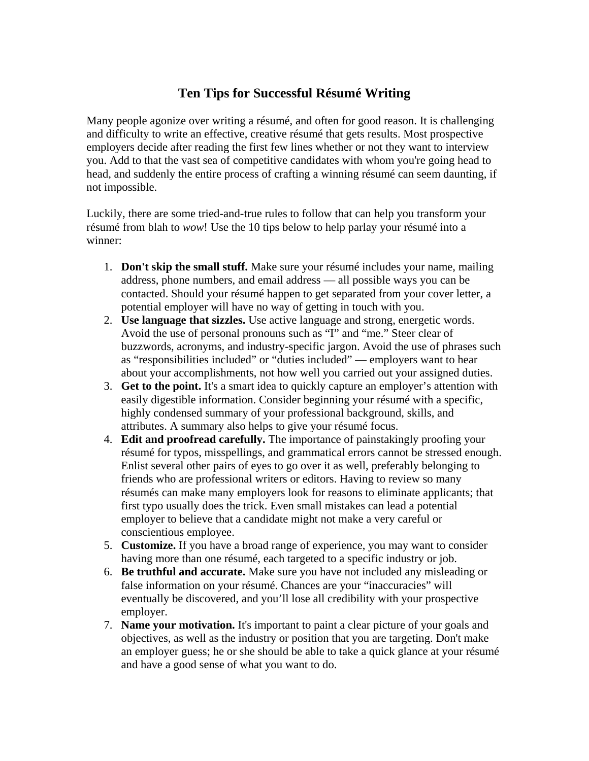## **Ten Tips for Successful Résumé Writing**

Many people agonize over writing a résumé, and often for good reason. It is challenging and difficulty to write an effective, creative résumé that gets results. Most prospective employers decide after reading the first few lines whether or not they want to interview you. Add to that the vast sea of competitive candidates with whom you're going head to head, and suddenly the entire process of crafting a winning résumé can seem daunting, if not impossible.

Luckily, there are some tried-and-true rules to follow that can help you transform your résumé from blah to *wow*! Use the 10 tips below to help parlay your résumé into a winner:

- 1. **Don't skip the small stuff.** Make sure your résumé includes your name, mailing address, phone numbers, and email address — all possible ways you can be contacted. Should your résumé happen to get separated from your cover letter, a potential employer will have no way of getting in touch with you.
- 2. **Use language that sizzles.** Use active language and strong, energetic words. Avoid the use of personal pronouns such as "I" and "me." Steer clear of buzzwords, acronyms, and industry-specific jargon. Avoid the use of phrases such as "responsibilities included" or "duties included" — employers want to hear about your accomplishments, not how well you carried out your assigned duties.
- 3. **Get to the point.** It's a smart idea to quickly capture an employer's attention with easily digestible information. Consider beginning your résumé with a specific, highly condensed summary of your professional background, skills, and attributes. A summary also helps to give your résumé focus.
- 4. **Edit and proofread carefully.** The importance of painstakingly proofing your résumé for typos, misspellings, and grammatical errors cannot be stressed enough. Enlist several other pairs of eyes to go over it as well, preferably belonging to friends who are professional writers or editors. Having to review so many résumés can make many employers look for reasons to eliminate applicants; that first typo usually does the trick. Even small mistakes can lead a potential employer to believe that a candidate might not make a very careful or conscientious employee.
- 5. **Customize.** If you have a broad range of experience, you may want to consider having more than one résumé, each targeted to a specific industry or job.
- 6. **Be truthful and accurate.** Make sure you have not included any misleading or false information on your résumé. Chances are your "inaccuracies" will eventually be discovered, and you'll lose all credibility with your prospective employer.
- 7. **Name your motivation.** It's important to paint a clear picture of your goals and objectives, as well as the industry or position that you are targeting. Don't make an employer guess; he or she should be able to take a quick glance at your résumé and have a good sense of what you want to do.